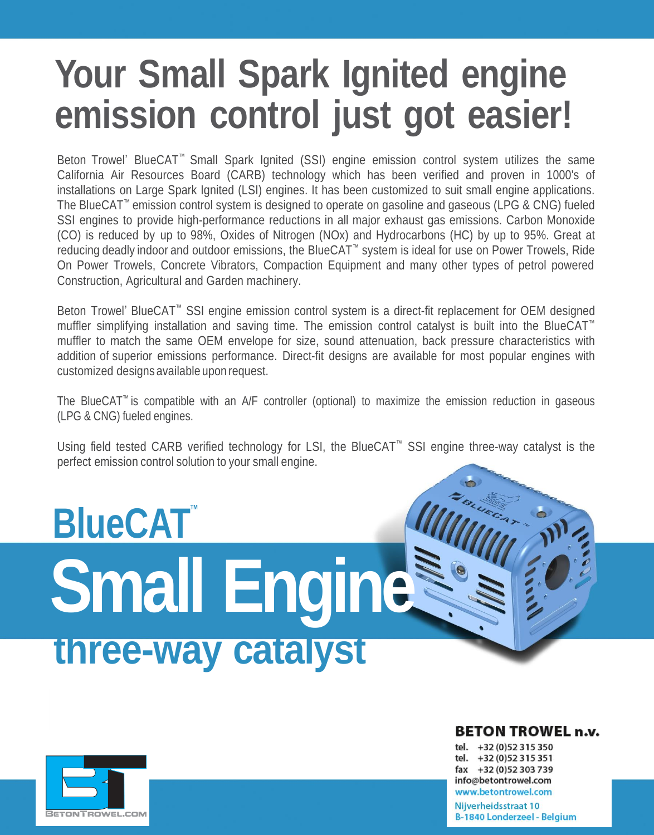# **Your Small Spark Ignited engine emission control just got easier!**

Beton Trowel' BlueCAT ™ Small Spark Ignited (SSI) engine emission control system utilizes the same California Air Resources Board (CARB) technology which has been verified and proven in 1000's of installations on Large Spark Ignited (LSI) engines. It has been customized to suit small engine applications. The BlueCAT™ emission control system is designed to operate on gasoline and gaseous (LPG & CNG) fueled SSI engines to provide high-performance reductions in all major exhaust gas emissions. Carbon Monoxide (CO) is reduced by up to 98%, Oxides of Nitrogen (NOx) and Hydrocarbons (HC) by up to 95%. Great at reducing deadly indoor and outdoor emissions, the BlueCAT™ system is ideal for use on Power Trowels, Ride On Power Trowels, Concrete Vibrators, Compaction Equipment and many other types of petrol powered Construction, Agricultural and Garden machinery.

Beton Trowel' BlueCAT ™ SSI engine emission control system is a direct-fit replacement for OEM designed muffler simplifying installation and saving time. The emission control catalyst is built into the BlueCAT<sup>™</sup> muffler to match the same OEM envelope for size, sound attenuation, back pressure characteristics with addition of superior emissions performance. Direct-fit designs are available for most popular engines with customized designs available upon request.

The BlueCAT ™ is compatible with an A/F controller (optional) to maximize the emission reduction in gaseous (LPG & CNG) fueled engines.

Using field tested CARB verified technology for LSI, the BlueCAT<sup>™</sup> SSI engine three-way catalyst is the perfect emission control solution to your small engine.

# **BlueCAT Small Engine three-way catalyst**



## **BETON TROWEL n.v.**

tel. +32 (0) 52 315 350 tel. +32 (0) 52 315 351 fax +32 (0)52 303 739 info@betontrowel.com www.betontrowel.com

Nijverheidsstraat 10 B-1840 Londerzeel - Belgium